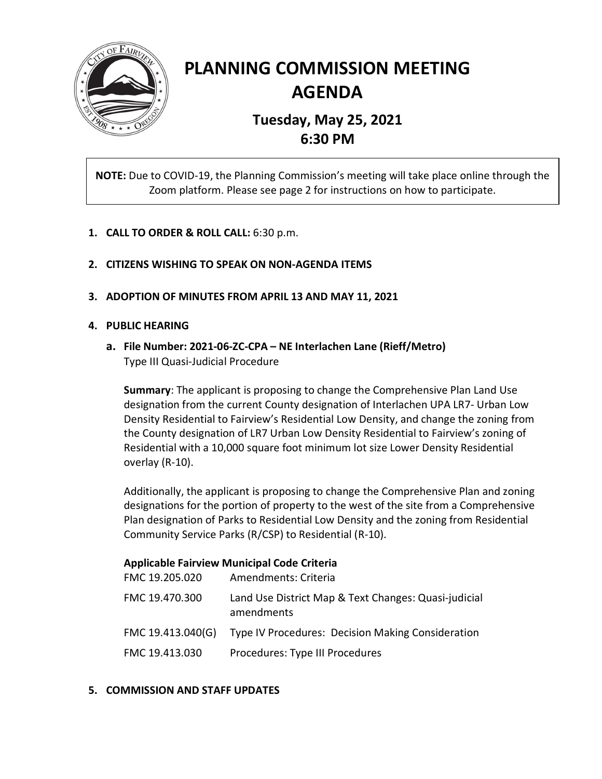

# **PLANNING COMMISSION MEETING AGENDA**

## **Tuesday, May 25, 2021 6:30 PM**

**NOTE:** Due to COVID-19, the Planning Commission's meeting will take place online through the Zoom platform. Please see page 2 for instructions on how to participate.

- **1. CALL TO ORDER & ROLL CALL:** 6:30 p.m.
- **2. CITIZENS WISHING TO SPEAK ON NON-AGENDA ITEMS**
- **3. ADOPTION OF MINUTES FROM APRIL 13 AND MAY 11, 2021**

#### **4. PUBLIC HEARING**

**a. File Number: 2021-06-ZC-CPA – NE Interlachen Lane (Rieff/Metro)** Type III Quasi-Judicial Procedure

**Summary**: The applicant is proposing to change the Comprehensive Plan Land Use designation from the current County designation of Interlachen UPA LR7- Urban Low Density Residential to Fairview's Residential Low Density, and change the zoning from the County designation of LR7 Urban Low Density Residential to Fairview's zoning of Residential with a 10,000 square foot minimum lot size Lower Density Residential overlay (R-10).

Additionally, the applicant is proposing to change the Comprehensive Plan and zoning designations for the portion of property to the west of the site from a Comprehensive Plan designation of Parks to Residential Low Density and the zoning from Residential Community Service Parks (R/CSP) to Residential (R-10).

#### **Applicable Fairview Municipal Code Criteria**

| FMC 19.205.020    | Amendments: Criteria                                               |
|-------------------|--------------------------------------------------------------------|
| FMC 19.470.300    | Land Use District Map & Text Changes: Quasi-judicial<br>amendments |
| FMC 19.413.040(G) | Type IV Procedures: Decision Making Consideration                  |
| FMC 19.413.030    | Procedures: Type III Procedures                                    |

#### **5. COMMISSION AND STAFF UPDATES**